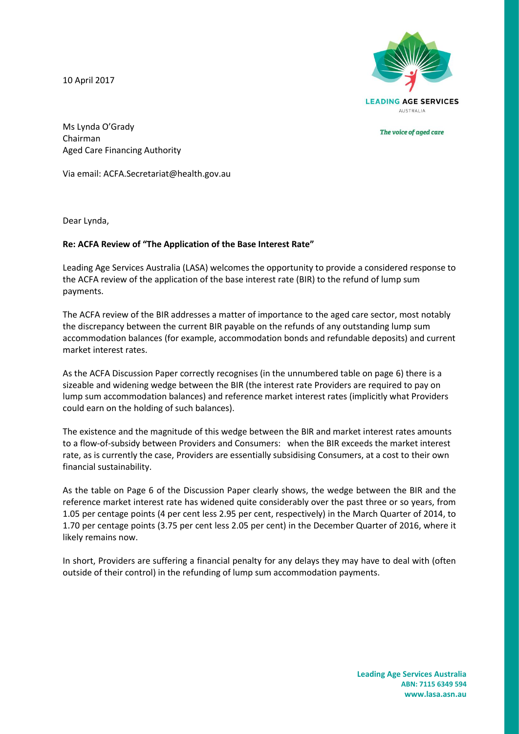10 April 2017



The voice of aged care

Ms Lynda O'Grady Chairman Aged Care Financing Authority

Via email: ACFA.Secretariat@health.gov.au

Dear Lynda,

## **Re: ACFA Review of "The Application of the Base Interest Rate"**

Leading Age Services Australia (LASA) welcomes the opportunity to provide a considered response to the ACFA review of the application of the base interest rate (BIR) to the refund of lump sum payments.

The ACFA review of the BIR addresses a matter of importance to the aged care sector, most notably the discrepancy between the current BIR payable on the refunds of any outstanding lump sum accommodation balances (for example, accommodation bonds and refundable deposits) and current market interest rates.

As the ACFA Discussion Paper correctly recognises (in the unnumbered table on page 6) there is a sizeable and widening wedge between the BIR (the interest rate Providers are required to pay on lump sum accommodation balances) and reference market interest rates (implicitly what Providers could earn on the holding of such balances).

The existence and the magnitude of this wedge between the BIR and market interest rates amounts to a flow-of-subsidy between Providers and Consumers: when the BIR exceeds the market interest rate, as is currently the case, Providers are essentially subsidising Consumers, at a cost to their own financial sustainability.

As the table on Page 6 of the Discussion Paper clearly shows, the wedge between the BIR and the reference market interest rate has widened quite considerably over the past three or so years, from 1.05 per centage points (4 per cent less 2.95 per cent, respectively) in the March Quarter of 2014, to 1.70 per centage points (3.75 per cent less 2.05 per cent) in the December Quarter of 2016, where it likely remains now.

In short, Providers are suffering a financial penalty for any delays they may have to deal with (often outside of their control) in the refunding of lump sum accommodation payments.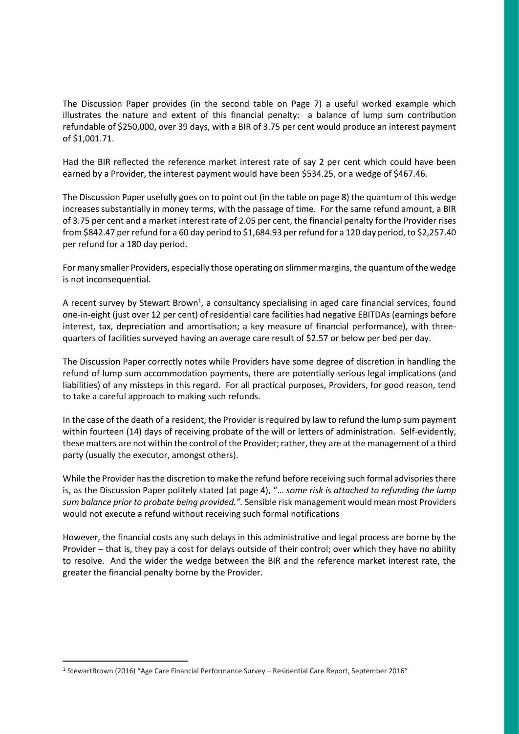The Discussion Paper provides (in the second table on Page 7) a useful worked example which illustrates the nature and extent of this financial penalty: a balance of lump sum contribution refundable of \$250,000, over 39 days, with a BIR of 3.75 per cent would produce an interest payment of \$1,001.71.

Had the BIR reflected the reference market interest rate of say 2 per cent which could have been earned by a Provider, the interest payment would have been \$534.25, or a wedge of \$467.46.

The Discussion Paper usefully goes on to point out (in the table on page 8) the quantum of this wedge increases substantially in money terms, with the passage of time. For the same refund amount, a BIR of 3.75 per cent and a market interest rate of 2.05 per cent, the financial penalty for the Provider rises from \$842.47 per refund for a 60 day period to \$1,684.93 per refund for a 120 day period, to \$2,257.40 per refund for a 180 day period.

For many smaller Providers, especially those operating on slimmer margins, the quantum of the wedge is not inconsequential.

A recent survey by Stewart Brown<sup>1</sup>, a consultancy specialising in aged care financial services, found one-in-eight (just over 12 per cent) of residential care facilities had negative EBITDAs (earnings before interest, tax, depreciation and amortisation; a key measure of financial performance), with threequarters of facilities surveyed having an average care result of \$2.57 or below per bed per day.

The Discussion Paper correctly notes while Providers have some degree of discretion in handling the refund of lump sum accommodation payments, there are potentially serious legal implications (and liabilities) of any missteps in this regard. For all practical purposes, Providers, for good reason, tend to take a careful approach to making such refunds.

In the case of the death of a resident, the Provider is required by law to refund the lump sum payment within fourteen (14) days of receiving probate of the will or letters of administration. Self-evidently, these matters are not within the control of the Provider; rather, they are at the management of a third party (usually the executor, amongst others).

While the Provider has the discretion to make the refund before receiving such formal advisories there is, as the Discussion Paper politely stated (at page 4), "… *some risk is attached to refunding the lump sum balance prior to probate being provided.".* Sensible risk management would mean most Providers would not execute a refund without receiving such formal notifications

However, the financial costs any such delays in this administrative and legal process are borne by the Provider – that is, they pay a cost for delays outside of their control; over which they have no ability to resolve. And the wider the wedge between the BIR and the reference market interest rate, the greater the financial penalty borne by the Provider.

-

<sup>1</sup> StewartBrown (2016) "Age Care Financial Performance Survey – Residential Care Report, September 2016"